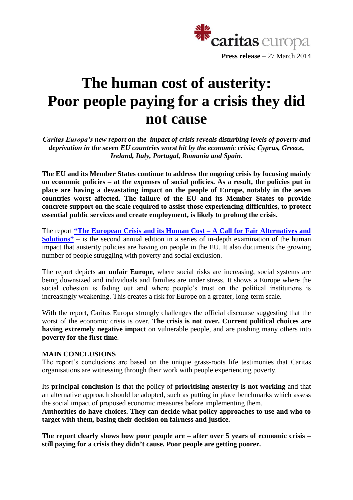

# **The human cost of austerity: Poor people paying for a crisis they did not cause**

*Caritas Europa's new report on the impact of crisis reveals disturbing levels of poverty and deprivation in the seven EU countries worst hit by the economic crisis; Cyprus, Greece, Ireland, Italy, Portugal, Romania and Spain.*

**The EU and its Member States continue to address the ongoing crisis by focusing mainly on economic policies – at the expenses of social policies. As a result, the policies put in place are having a devastating impact on the people of Europe, notably in the seven countries worst affected. The failure of the EU and its Member States to provide concrete support on the scale required to assist those experiencing difficulties, to protect essential public services and create employment, is likely to prolong the crisis.**

The report **"The European Crisis and its Human Cost – [A Call for Fair Alternatives and](http://www.caritas.eu/sites/default/files/caritascrisisreport_2014_en.pdf)  [Solutions"](http://www.caritas.eu/sites/default/files/caritascrisisreport_2014_en.pdf) –** is the second annual edition in a series of in-depth examination of the human impact that austerity policies are having on people in the EU. It also documents the growing number of people struggling with poverty and social exclusion.

The report depicts **an unfair Europe**, where social risks are increasing, social systems are being downsized and individuals and families are under stress. It shows a Europe where the social cohesion is fading out and where people's trust on the political institutions is increasingly weakening. This creates a risk for Europe on a greater, long-term scale.

With the report, Caritas Europa strongly challenges the official discourse suggesting that the worst of the economic crisis is over. **The crisis is not over. Current political choices are having extremely negative impact** on vulnerable people, and are pushing many others into **poverty for the first time**.

## **MAIN CONCLUSIONS**

The report's conclusions are based on the unique grass-roots life testimonies that Caritas organisations are witnessing through their work with people experiencing poverty.

Its **principal conclusion** is that the policy of **prioritising austerity is not working** and that an alternative approach should be adopted, such as putting in place benchmarks which assess the social impact of proposed economic measures before implementing them.

**Authorities do have choices. They can decide what policy approaches to use and who to target with them, basing their decision on fairness and justice.**

**The report clearly shows how poor people are – after over 5 years of economic crisis – still paying for a crisis they didn't cause. Poor people are getting poorer.**